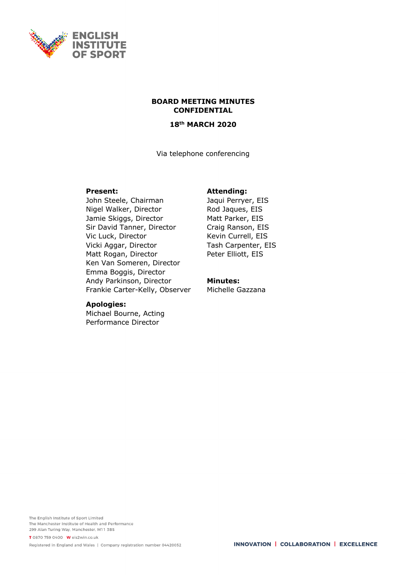

#### **BOARD MEETING MINUTES CONFIDENTIAL**

#### **18th MARCH 2020**

Via telephone conferencing

### **Present:**

John Steele, Chairman Nigel Walker, Director Jamie Skiggs, Director Sir David Tanner, Director Vic Luck, Director Vicki Aggar, Director Matt Rogan, Director Ken Van Someren, Director Emma Boggis, Director Andy Parkinson, Director Frankie Carter-Kelly, Observer

# **Apologies:**

Michael Bourne, Acting Performance Director

## **Attending:**

Jaqui Perryer, EIS Rod Jaques, EIS Matt Parker, EIS Craig Ranson, EIS Kevin Currell, EIS Tash Carpenter, EIS Peter Elliott, EIS

#### **Minutes:**

Michelle Gazzana

The English Institute of Sport Limited The Manchester Institute of Health and Performance 299 Alan Turing Way, Manchester, M11 3BS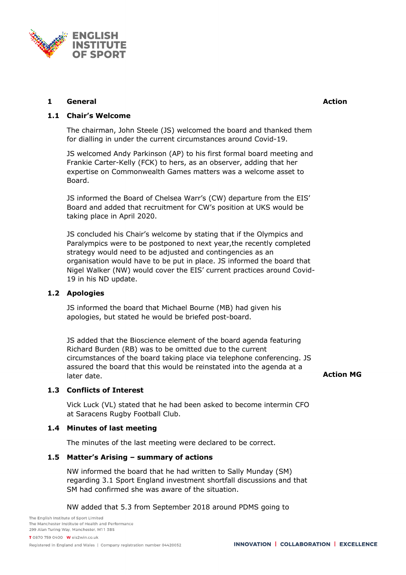

## **1 General Action**

# **1.1 Chair's Welcome**

The chairman, John Steele (JS) welcomed the board and thanked them for dialling in under the current circumstances around Covid-19.

JS welcomed Andy Parkinson (AP) to his first formal board meeting and Frankie Carter-Kelly (FCK) to hers, as an observer, adding that her expertise on Commonwealth Games matters was a welcome asset to Board.

JS informed the Board of Chelsea Warr's (CW) departure from the EIS' Board and added that recruitment for CW's position at UKS would be taking place in April 2020.

JS concluded his Chair's welcome by stating that if the Olympics and Paralympics were to be postponed to next year,the recently completed strategy would need to be adjusted and contingencies as an organisation would have to be put in place. JS informed the board that Nigel Walker (NW) would cover the EIS' current practices around Covid-19 in his ND update.

## **1.2 Apologies**

JS informed the board that Michael Bourne (MB) had given his apologies, but stated he would be briefed post-board.

JS added that the Bioscience element of the board agenda featuring Richard Burden (RB) was to be omitted due to the current circumstances of the board taking place via telephone conferencing. JS assured the board that this would be reinstated into the agenda at a later date. **Action MG** 

## **1.3 Conflicts of Interest**

Vick Luck (VL) stated that he had been asked to become intermin CFO at Saracens Rugby Football Club.

#### **1.4 Minutes of last meeting**

The minutes of the last meeting were declared to be correct.

#### **1.5 Matter's Arising – summary of actions**

NW informed the board that he had written to Sally Munday (SM) regarding 3.1 Sport England investment shortfall discussions and that SM had confirmed she was aware of the situation.

NW added that 5.3 from September 2018 around PDMS going to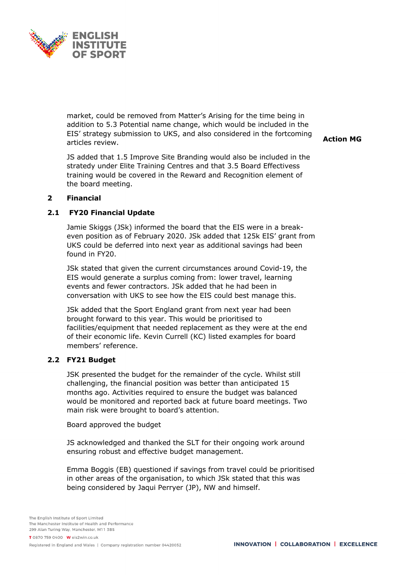

market, could be removed from Matter's Arising for the time being in addition to 5.3 Potential name change, which would be included in the EIS' strategy submission to UKS, and also considered in the fortcoming articles review.

JS added that 1.5 Improve Site Branding would also be included in the stratedy under Elite Training Centres and that 3.5 Board Effectivess training would be covered in the Reward and Recognition element of the board meeting.

**Action MG**

### **2 Financial**

### **2.1 FY20 Financial Update**

Jamie Skiggs (JSk) informed the board that the EIS were in a breakeven position as of February 2020. JSk added that 125k EIS' grant from UKS could be deferred into next year as additional savings had been found in FY20.

JSk stated that given the current circumstances around Covid-19, the EIS would generate a surplus coming from: lower travel, learning events and fewer contractors. JSk added that he had been in conversation with UKS to see how the EIS could best manage this.

JSk added that the Sport England grant from next year had been brought forward to this year. This would be prioritised to facilities/equipment that needed replacement as they were at the end of their economic life. Kevin Currell (KC) listed examples for board members' reference.

#### **2.2 FY21 Budget**

JSK presented the budget for the remainder of the cycle. Whilst still challenging, the financial position was better than anticipated 15 months ago. Activities required to ensure the budget was balanced would be monitored and reported back at future board meetings. Two main risk were brought to board's attention.

Board approved the budget

JS acknowledged and thanked the SLT for their ongoing work around ensuring robust and effective budget management.

Emma Boggis (EB) questioned if savings from travel could be prioritised in other areas of the organisation, to which JSk stated that this was being considered by Jaqui Perryer (JP), NW and himself.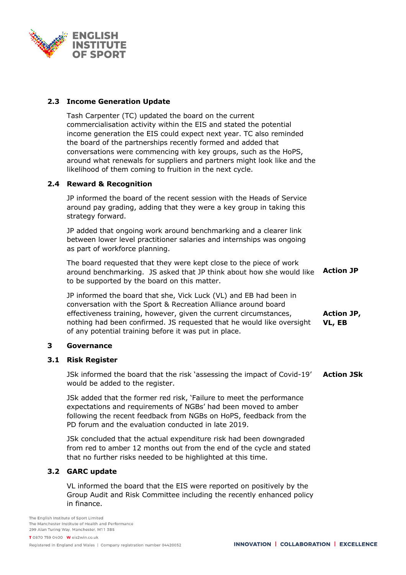

## **2.3 Income Generation Update**

Tash Carpenter (TC) updated the board on the current commercialisation activity within the EIS and stated the potential income generation the EIS could expect next year. TC also reminded the board of the partnerships recently formed and added that conversations were commencing with key groups, such as the HoPS, around what renewals for suppliers and partners might look like and the likelihood of them coming to fruition in the next cycle.

## **2.4 Reward & Recognition**

JP informed the board of the recent session with the Heads of Service around pay grading, adding that they were a key group in taking this strategy forward.

JP added that ongoing work around benchmarking and a clearer link between lower level practitioner salaries and internships was ongoing as part of workforce planning.

The board requested that they were kept close to the piece of work around benchmarking. JS asked that JP think about how she would like to be supported by the board on this matter. **Action JP**

JP informed the board that she, Vick Luck (VL) and EB had been in conversation with the Sport & Recreation Alliance around board effectiveness training, however, given the current circumstances, nothing had been confirmed. JS requested that he would like oversight of any potential training before it was put in place. **Action JP, VL, EB**

#### **3 Governance**

### **3.1 Risk Register**

JSk informed the board that the risk 'assessing the impact of Covid-19' would be added to the register. **Action JSk**

JSk added that the former red risk, 'Failure to meet the performance expectations and requirements of NGBs' had been moved to amber following the recent feedback from NGBs on HoPS, feedback from the PD forum and the evaluation conducted in late 2019.

JSk concluded that the actual expenditure risk had been downgraded from red to amber 12 months out from the end of the cycle and stated that no further risks needed to be highlighted at this time.

## **3.2 GARC update**

VL informed the board that the EIS were reported on positively by the Group Audit and Risk Committee including the recently enhanced policy in finance.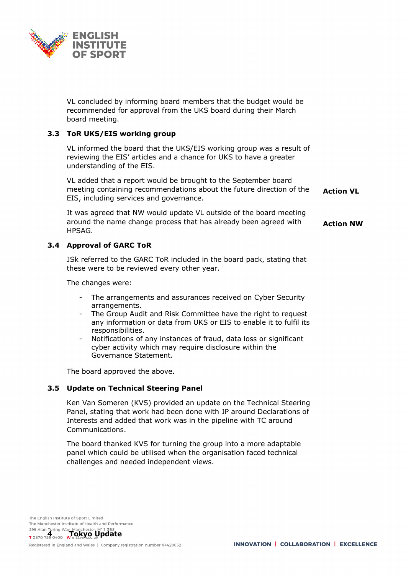

VL concluded by informing board members that the budget would be recommended for approval from the UKS board during their March board meeting.

### **3.3 ToR UKS/EIS working group**

VL informed the board that the UKS/EIS working group was a result of reviewing the EIS' articles and a chance for UKS to have a greater understanding of the EIS.

VL added that a report would be brought to the September board meeting containing recommendations about the future direction of the EIS, including services and governance. **Action VL**

It was agreed that NW would update VL outside of the board meeting around the name change process that has already been agreed with HPSAG. **Action NW**

### **3.4 Approval of GARC ToR**

JSk referred to the GARC ToR included in the board pack, stating that these were to be reviewed every other year.

The changes were:

- The arrangements and assurances received on Cyber Security arrangements.
- The Group Audit and Risk Committee have the right to request any information or data from UKS or EIS to enable it to fulfil its responsibilities.
- Notifications of any instances of fraud, data loss or significant cyber activity which may require disclosure within the Governance Statement.

The board approved the above.

#### **3.5 Update on Technical Steering Panel**

Ken Van Someren (KVS) provided an update on the Technical Steering Panel, stating that work had been done with JP around Declarations of Interests and added that work was in the pipeline with TC around Communications.

The board thanked KVS for turning the group into a more adaptable panel which could be utilised when the organisation faced technical challenges and needed independent views.

The English Institute of Sport Limited The Manchester Institute of Health and Performance